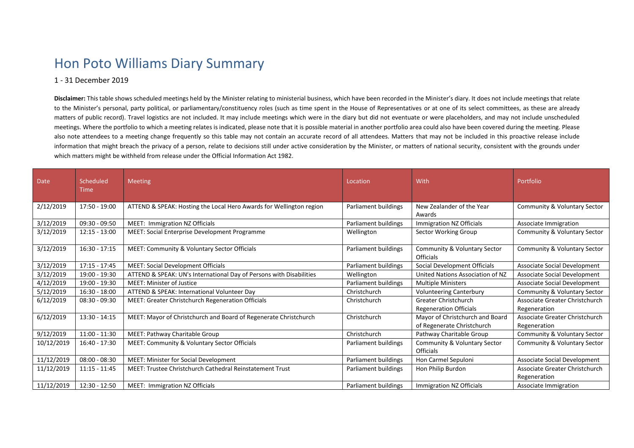## Hon Poto Williams Diary Summary

## 1 - 31 December 2019

**Disclaimer:** This table shows scheduled meetings held by the Minister relating to ministerial business, which have been recorded in the Minister's diary. It does not include meetings that relate to the Minister's personal, party political, or parliamentary/constituency roles (such as time spent in the House of Representatives or at one of its select committees, as these are already matters of public record). Travel logistics are not included. It may include meetings which were in the diary but did not eventuate or were placeholders, and may not include unscheduled meetings. Where the portfolio to which a meeting relates is indicated, please note that it is possible material in another portfolio area could also have been covered during the meeting. Please also note attendees to a meeting change frequently so this table may not contain an accurate record of all attendees. Matters that may not be included in this proactive release include information that might breach the privacy of a person, relate to decisions still under active consideration by the Minister, or matters of national security, consistent with the grounds under which matters might be withheld from release under the Official Information Act 1982.

| <b>Date</b> | Scheduled<br><b>Time</b> | <b>Meeting</b>                                                      | Location             | With                                                          | Portfolio                                      |
|-------------|--------------------------|---------------------------------------------------------------------|----------------------|---------------------------------------------------------------|------------------------------------------------|
| 2/12/2019   | 17:50 - 19:00            | ATTEND & SPEAK: Hosting the Local Hero Awards for Wellington region | Parliament buildings | New Zealander of the Year<br>Awards                           | Community & Voluntary Sector                   |
| 3/12/2019   | $09:30 - 09:50$          | MEET: Immigration NZ Officials                                      | Parliament buildings | Immigration NZ Officials                                      | Associate Immigration                          |
| 3/12/2019   | $12:15 - 13:00$          | MEET: Social Enterprise Development Programme                       | Wellington           | Sector Working Group                                          | Community & Voluntary Sector                   |
| 3/12/2019   | $16:30 - 17:15$          | MEET: Community & Voluntary Sector Officials                        | Parliament buildings | Community & Voluntary Sector<br><b>Officials</b>              | Community & Voluntary Sector                   |
| 3/12/2019   | $17:15 - 17:45$          | <b>MEET: Social Development Officials</b>                           | Parliament buildings | Social Development Officials                                  | Associate Social Development                   |
| 3/12/2019   | 19:00 - 19:30            | ATTEND & SPEAK: UN's International Day of Persons with Disabilities | Wellington           | United Nations Association of NZ                              | Associate Social Development                   |
| 4/12/2019   | 19:00 - 19:30            | <b>MEET: Minister of Justice</b>                                    | Parliament buildings | <b>Multiple Ministers</b>                                     | <b>Associate Social Development</b>            |
| 5/12/2019   | $16:30 - 18:00$          | ATTEND & SPEAK: International Volunteer Day                         | Christchurch         | <b>Volunteering Canterbury</b>                                | Community & Voluntary Sector                   |
| 6/12/2019   | $08:30 - 09:30$          | MEET: Greater Christchurch Regeneration Officials                   | Christchurch         | Greater Christchurch<br><b>Regeneration Officials</b>         | Associate Greater Christchurch<br>Regeneration |
| 6/12/2019   | $13:30 - 14:15$          | MEET: Mayor of Christchurch and Board of Regenerate Christchurch    | Christchurch         | Mayor of Christchurch and Board<br>of Regenerate Christchurch | Associate Greater Christchurch<br>Regeneration |
| 9/12/2019   | $11:00 - 11:30$          | MEET: Pathway Charitable Group                                      | Christchurch         | Pathway Charitable Group                                      | Community & Voluntary Sector                   |
| 10/12/2019  | 16:40 - 17:30            | <b>MEET: Community &amp; Voluntary Sector Officials</b>             | Parliament buildings | Community & Voluntary Sector<br>Officials                     | Community & Voluntary Sector                   |
| 11/12/2019  | $08:00 - 08:30$          | <b>MEET: Minister for Social Development</b>                        | Parliament buildings | Hon Carmel Sepuloni                                           | <b>Associate Social Development</b>            |
| 11/12/2019  | $11:15 - 11:45$          | MEET: Trustee Christchurch Cathedral Reinstatement Trust            | Parliament buildings | Hon Philip Burdon                                             | Associate Greater Christchurch<br>Regeneration |
| 11/12/2019  | 12:30 - 12:50            | MEET: Immigration NZ Officials                                      | Parliament buildings | Immigration NZ Officials                                      | Associate Immigration                          |